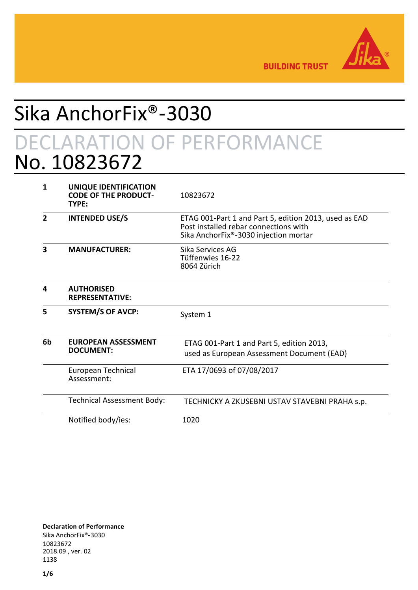

**BUILDING TRUST** 

# Sika AnchorFix®‑3030

# DECLARATION OF PERFORMANCE No. 10823672

| 1              | UNIQUE IDENTIFICATION<br><b>CODE OF THE PRODUCT-</b><br>TYPE: | 10823672                                                                                                                                |
|----------------|---------------------------------------------------------------|-----------------------------------------------------------------------------------------------------------------------------------------|
| $\overline{2}$ | <b>INTENDED USE/S</b>                                         | ETAG 001-Part 1 and Part 5, edition 2013, used as EAD<br>Post installed rebar connections with<br>Sika AnchorFix®-3030 injection mortar |
| 3              | <b>MANUFACTURER:</b>                                          | Sika Services AG<br>Tüffenwies 16-22<br>8064 Zürich                                                                                     |
| 4              | <b>AUTHORISED</b><br><b>REPRESENTATIVE:</b>                   |                                                                                                                                         |
| 5              | <b>SYSTEM/S OF AVCP:</b>                                      | System 1                                                                                                                                |
| 6 <sub>b</sub> | <b>EUROPEAN ASSESSMENT</b><br><b>DOCUMENT:</b>                | ETAG 001-Part 1 and Part 5, edition 2013,<br>used as European Assessment Document (EAD)                                                 |
|                | European Technical<br>Assessment:                             | ETA 17/0693 of 07/08/2017                                                                                                               |
|                | Technical Assessment Body:                                    | TECHNICKY A ZKUSEBNI USTAV STAVEBNI PRAHA s.p.                                                                                          |
|                | Notified body/ies:                                            | 1020                                                                                                                                    |

**Declaration of Performance** Sika AnchorFix®‑3030 10823672 2018.09 , ver. 02 1138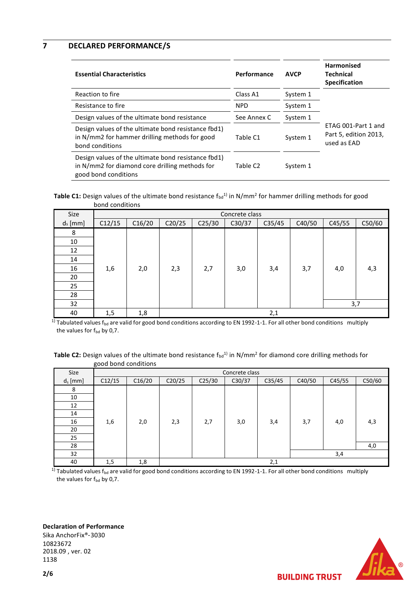### **7 DECLARED PERFORMANCE/S**

| <b>Essential Characteristics</b>                                                                                              | Performance | <b>AVCP</b> | <b>Harmonised</b><br><b>Technical</b><br><b>Specification</b> |
|-------------------------------------------------------------------------------------------------------------------------------|-------------|-------------|---------------------------------------------------------------|
| Reaction to fire                                                                                                              | Class A1    | System 1    |                                                               |
| Resistance to fire                                                                                                            | <b>NPD</b>  | System 1    |                                                               |
| Design values of the ultimate bond resistance                                                                                 | See Annex C | System 1    |                                                               |
| Design values of the ultimate bond resistance fbd1)<br>in N/mm2 for hammer drilling methods for good<br>bond conditions       | Table C1    | System 1    | ETAG 001-Part 1 and<br>Part 5, edition 2013,<br>used as EAD   |
| Design values of the ultimate bond resistance fbd1)<br>in N/mm2 for diamond core drilling methods for<br>good bond conditions | Table C2    | System 1    |                                                               |

**Table C1:** Design values of the ultimate bond resistance  $f_{bd}^{(1)}$  in N/mm<sup>2</sup> for hammer drilling methods for good bond conditions

| Size       |        |        |        |        | Concrete class |        |        |        |        |
|------------|--------|--------|--------|--------|----------------|--------|--------|--------|--------|
|            |        |        |        |        |                |        |        |        |        |
| $d_s$ [mm] | C12/15 | C16/20 | C20/25 | C25/30 | C30/37         | C35/45 | C40/50 | C45/55 | C50/60 |
| 8          |        |        |        |        |                |        |        |        |        |
| 10         |        |        |        |        |                |        |        |        |        |
| 12         |        |        |        |        |                |        |        |        |        |
| 14         |        |        |        |        |                |        |        |        |        |
| 16         | 1,6    | 2,0    | 2,3    | 2,7    | 3,0            | 3,4    | 3,7    | 4,0    | 4,3    |
| 20         |        |        |        |        |                |        |        |        |        |
| 25         |        |        |        |        |                |        |        |        |        |
| 28         |        |        |        |        |                |        |        |        |        |
| 32         |        |        |        |        |                |        |        |        | 3,7    |
| 40         | 1,5    | 1,8    |        |        |                | 2,1    |        |        |        |

 $1)$  Tabulated values f<sub>bd</sub> are valid for good bond conditions according to EN 1992-1-1. For all other bond conditions multiply the values for  $f_{bd}$  by 0,7.

| <b>Table C2:</b> Design values of the ultimate bond resistance $f_{bd}$ <sup>1</sup> in N/mm <sup>2</sup> for diamond core drilling methods for |  |
|-------------------------------------------------------------------------------------------------------------------------------------------------|--|
| good bond conditions                                                                                                                            |  |

| Size       |        |        |        |        | Concrete class |        |        |        |        |
|------------|--------|--------|--------|--------|----------------|--------|--------|--------|--------|
| $d_s$ [mm] | C12/15 | C16/20 | C20/25 | C25/30 | C30/37         | C35/45 | C40/50 | C45/55 | C50/60 |
| 8          |        |        |        |        |                |        |        |        |        |
| 10         |        |        |        |        |                |        |        |        |        |
| 12         |        |        |        |        |                |        |        |        |        |
| 14         |        |        |        |        |                |        |        |        |        |
| 16         | 1,6    | 2,0    | 2,3    | 2,7    | 3,0            | 3,4    | 3,7    | 4,0    | 4,3    |
| 20         |        |        |        |        |                |        |        |        |        |
| 25         |        |        |        |        |                |        |        |        |        |
| 28         |        |        |        |        |                |        |        |        | 4,0    |
| 32         |        |        |        |        |                |        |        | 3,4    |        |
| 40         | 1,5    | 1,8    |        |        |                | 2,1    |        |        |        |

 $1)$  Tabulated values f<sub>bd</sub> are valid for good bond conditions according to EN 1992-1-1. For all other bond conditions multiply the values for  $f_{bd}$  by 0,7.

**Declaration of Performance**

Sika AnchorFix®‑3030 10823672 2018.09 , ver. 02 1138

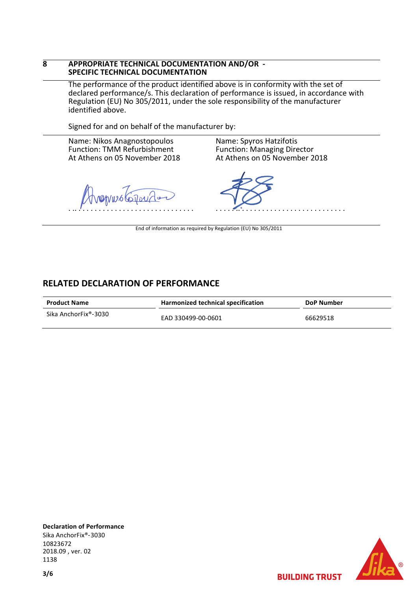### **8 APPROPRIATE TECHNICAL DOCUMENTATION AND/OR - SPECIFIC TECHNICAL DOCUMENTATION**

The performance of the product identified above is in conformity with the set of declared performance/s. This declaration of performance is issued, in accordance with Regulation (EU) No 305/2011, under the sole responsibility of the manufacturer identified above.

Signed for and on behalf of the manufacturer by:

Name: Nikos Anagnostopoulos Function: TMM Refurbishment At Athens on 05 November 2018

 $\omega$ wustalor . .. . . . . . . . . . . . . . . . . . . . . . . . . . . . . .

Name: Spyros Hatzifotis Function: Managing Director At Athens on 05 November 2018

. . . . . .. . . . . . . . . . . . . . . . . . . . . . . . . . .

End of information as required by Regulation (EU) No 305/2011

### **RELATED DECLARATION OF PERFORMANCE**

| <b>Product Name</b>  | Harmonized technical specification | DoP Number |  |  |
|----------------------|------------------------------------|------------|--|--|
| Sika AnchorFix®-3030 | EAD 330499-00-0601                 | 66629518   |  |  |

**Declaration of Performance** Sika AnchorFix®‑3030 10823672 2018.09 , ver. 02 1138

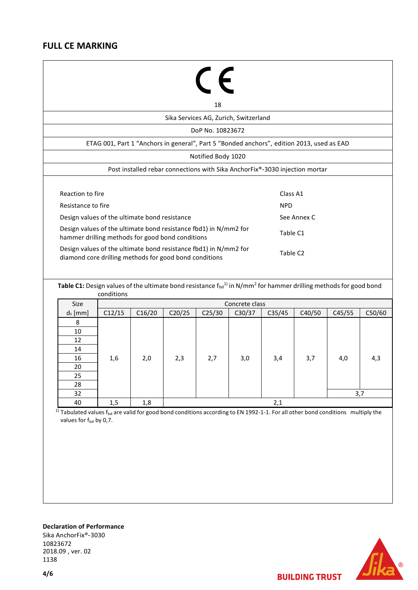### **FULL CE MARKING**

# $C\epsilon$

18

Sika Services AG, Zurich, Switzerland

DoP No. 10823672

ETAG 001, Part 1 "Anchors in general", Part 5 "Bonded anchors", edition 2013, used as EAD

Notified Body 1020

Post installed rebar connections with Sika AnchorFix®‑3030 injection mortar

| Reaction to fire                                                                                                           | Class A1             |
|----------------------------------------------------------------------------------------------------------------------------|----------------------|
| Resistance to fire                                                                                                         | <b>NPD</b>           |
| Design values of the ultimate bond resistance                                                                              | See Annex C          |
| Design values of the ultimate bond resistance fbd1) in N/mm2 for<br>hammer drilling methods for good bond conditions       | Table C1             |
| Design values of the ultimate bond resistance fbd1) in N/mm2 for<br>diamond core drilling methods for good bond conditions | Table C <sub>2</sub> |

**Table C1:** Design values of the ultimate bond resistance  $f_{bd}$ <sup>1)</sup> in N/mm<sup>2</sup> for hammer drilling methods for good bond conditions

| Size       |        |        |        |                    | Concrete class |        |        |        |        |
|------------|--------|--------|--------|--------------------|----------------|--------|--------|--------|--------|
| $d_s$ [mm] | C12/15 | C16/20 | C20/25 | C <sub>25/30</sub> | C30/37         | C35/45 | C40/50 | C45/55 | C50/60 |
| 8          |        |        |        |                    |                |        |        |        |        |
| 10         |        |        |        |                    |                |        |        |        |        |
| 12         |        |        |        |                    |                |        |        |        |        |
| 14         |        |        |        |                    |                |        |        |        |        |
| 16         | 1,6    | 2,0    | 2,3    | 2,7                | 3,0            | 3,4    | 3,7    | 4,0    | 4,3    |
| 20         |        |        |        |                    |                |        |        |        |        |
| 25         |        |        |        |                    |                |        |        |        |        |
| 28         |        |        |        |                    |                |        |        |        |        |
| 32         |        |        |        |                    |                |        |        |        | 3,7    |
| 40         | 1,5    | 1,8    |        |                    |                | 2,1    |        |        |        |

<sup>1)</sup> Tabulated values f<sub>bd</sub> are valid for good bond conditions according to EN 1992-1-1. For all other bond conditions multiply the values for f<sub>bd</sub> by 0,7.

## **Declaration of Performance**

Sika AnchorFix®‑3030 10823672 2018.09 , ver. 02 1138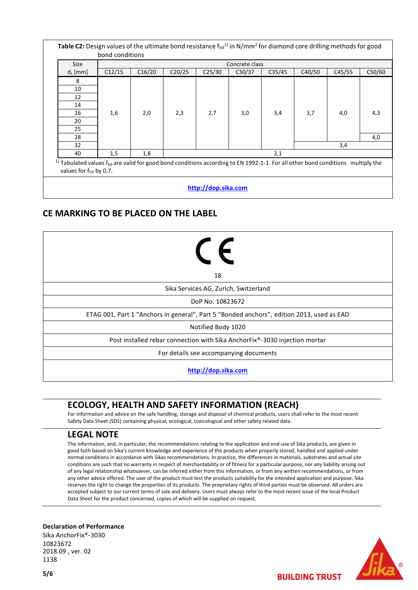| <b>Size</b> |        | Concrete class |        |                    |        |        |        |        |        |
|-------------|--------|----------------|--------|--------------------|--------|--------|--------|--------|--------|
| $d_s$ [mm]  | C12/15 | C16/20         | C20/25 | C <sub>25/30</sub> | C30/37 | C35/45 | C40/50 | C45/55 | C50/60 |
| 8           |        |                |        |                    |        |        |        |        |        |
| 10          |        |                |        |                    |        |        |        |        |        |
| 12          |        |                |        |                    |        |        |        |        |        |
| 14          |        |                |        |                    |        |        |        |        |        |
| 16          | 1,6    | 2,0            | 2,3    | 2,7                | 3,0    | 3,4    | 3,7    | 4,0    | 4,3    |
| 20          |        |                |        |                    |        |        |        |        |        |
| 25          |        |                |        |                    |        |        |        |        |        |
| 28          |        |                |        |                    |        |        |        |        | 4,0    |
| 32          | 3,4    |                |        |                    |        |        |        |        |        |
| 40          | 1,5    | 1,8            |        |                    |        | 2,1    |        |        |        |

**[http://dop.sika.com](http://dop.sika.com/)**

### **CE MARKING TO BE PLACED ON THE LABEL**

| $\epsilon$                                                                                |
|-------------------------------------------------------------------------------------------|
| 18                                                                                        |
| Sika Services AG, Zurich, Switzerland                                                     |
| DoP No. 10823672                                                                          |
| ETAG 001, Part 1 "Anchors in general", Part 5 "Bonded anchors", edition 2013, used as EAD |
| Notified Body 1020                                                                        |
| Post installed rebar connection with Sika AnchorFix®-3030 injection mortar                |
| For details see accompanying documents                                                    |
| http://dop.sika.com                                                                       |

## **ECOLOGY, HEALTH AND SAFETY INFORMATION (REACH)**

For information and advice on the safe handling, storage and disposal of chemical products, users shall refer to the most recent Safety Data Sheet (SDS) containing physical, ecological, toxicological and other safety related data.

### **LEGAL NOTE**

The information, and, in particular, the recommendations relating to the application and end-use of Sika products, are given in good faith based on Sika's current knowledge and experience of the products when properly stored, handled and applied under normal conditions in accordance with Sikas recommendations. In practice, the differences in materials, substrates and actual site conditions are such that no warranty in respect of merchantability or of fitness for a particular purpose, nor any liability arising out of any legal relationship whatsoever, can be inferred either from this information, or from any written recommendations, or from any other advice offered. The user of the product must test the products suitability for the intended application and purpose. Sika reserves the right to change the properties of its products. The proprietary rights of third parties must be observed. All orders are accepted subject to our current terms of sale and delivery. Users must always refer to the most recent issue of the local Product Data Sheet for the product concerned, copies of which will be supplied on request.

#### **Declaration of Performance**

Sika AnchorFix®‑3030 10823672 2018.09 , ver. 02 1138